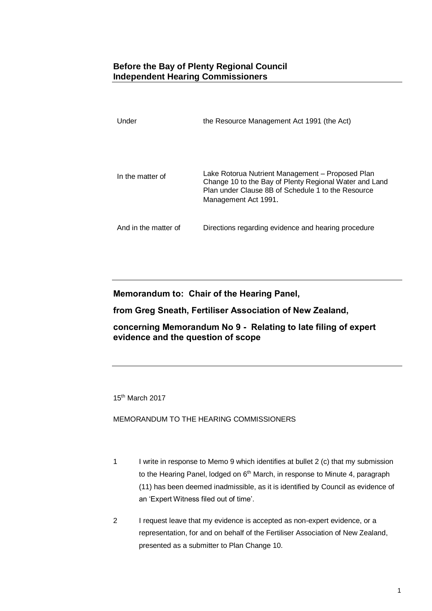## **Before the Bay of Plenty Regional Council Independent Hearing Commissioners**

| Under                | the Resource Management Act 1991 (the Act)                                                                                                                                               |
|----------------------|------------------------------------------------------------------------------------------------------------------------------------------------------------------------------------------|
|                      |                                                                                                                                                                                          |
|                      |                                                                                                                                                                                          |
| In the matter of     | Lake Rotorua Nutrient Management – Proposed Plan<br>Change 10 to the Bay of Plenty Regional Water and Land<br>Plan under Clause 8B of Schedule 1 to the Resource<br>Management Act 1991. |
| And in the matter of | Directions regarding evidence and hearing procedure                                                                                                                                      |

Memorandum to: Chair of the Hearing Panel,

from Greg Sneath, Fertiliser Association of New Zealand,

concerning Memorandum No 9 - Relating to late filing of expert evidence and the question of scope

15th March 2017

MEMORANDUM TO THE HEARING COMMISSIONERS

- 1 I write in response to Memo 9 which identifies at bullet 2 (c) that my submission to the Hearing Panel, lodged on 6<sup>th</sup> March, in response to Minute 4, paragraph (11) has been deemed inadmissible, as it is identified by Council as evidence of an 'Expert Witness filed out of time'.
- 2 I request leave that my evidence is accepted as non-expert evidence, or a representation, for and on behalf of the Fertiliser Association of New Zealand, presented as a submitter to Plan Change 10.